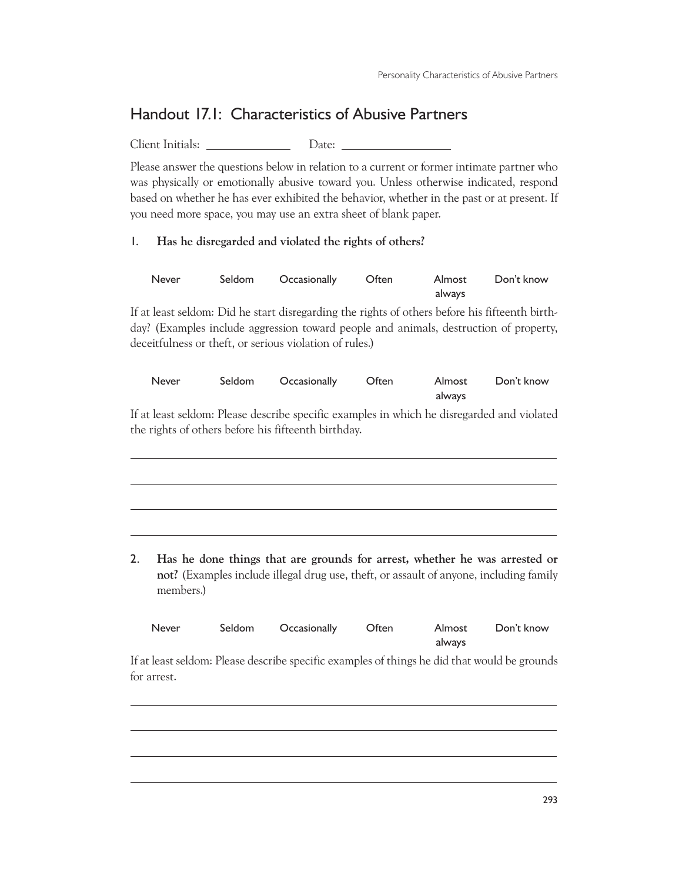## Handout 17.1: Characteristics of Abusive Partners

Client Initials: Date:

Please answer the questions below in relation to a current or former intimate partner who was physically or emotionally abusive toward you. Unless otherwise indicated, respond based on whether he has ever exhibited the behavior, whether in the past or at present. If you need more space, you may use an extra sheet of blank paper.

1. **Has he disregarded and violated the rights of others?**

 $\overline{a}$ 

 $\overline{a}$ 

| Never | Seldom Occasionally Often |        | Almost Don't know |
|-------|---------------------------|--------|-------------------|
|       |                           | always |                   |

If at least seldom: Did he start disregarding the rights of others before his fifteenth birthday? (Examples include aggression toward people and animals, destruction of property, deceitfulness or theft, or serious violation of rules.)

| Never | Seldom Occasionally | <b>Often</b> | Almost | Don't know |
|-------|---------------------|--------------|--------|------------|
|       |                     |              | always |            |

If at least seldom: Please describe specific examples in which he disregarded and violated the rights of others before his fifteenth birthday.

2. **Has he done things that are grounds for arrest, whether he was arrested or not?** (Examples include illegal drug use, theft, or assault of anyone, including family members.)

| Never | Seldom Occasionally Often |        | Almost Don't know |
|-------|---------------------------|--------|-------------------|
|       |                           | always |                   |

If at least seldom: Please describe specific examples of things he did that would be grounds for arrest.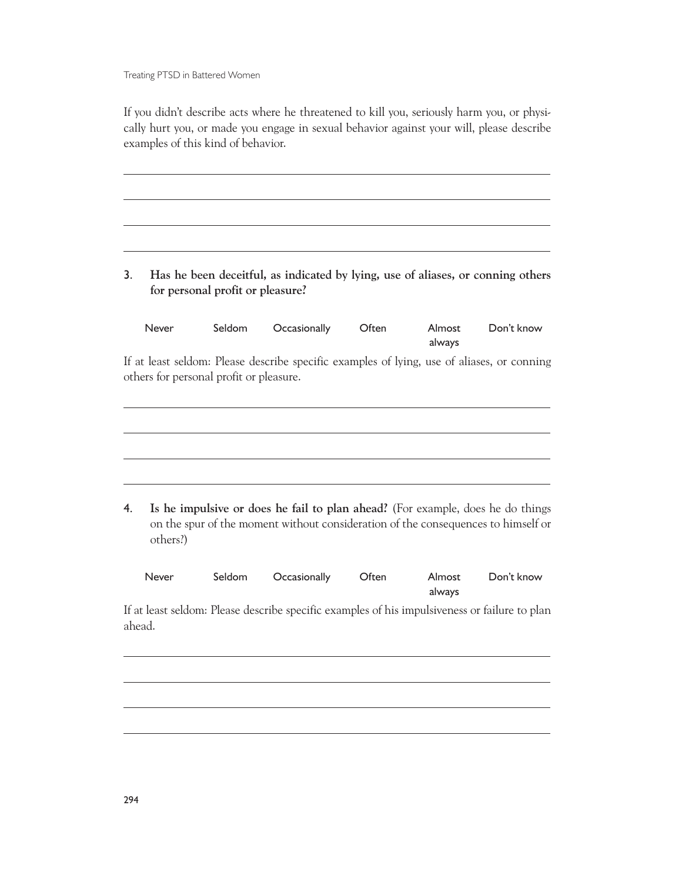Treating PTSD in Battered Women

 $\overline{a}$ 

If you didn't describe acts where he threatened to kill you, seriously harm you, or physically hurt you, or made you engage in sexual behavior against your will, please describe examples of this kind of behavior.

3. **Has he been deceitful, as indicated by lying, use of aliases, or conning others for personal profit or pleasure?**

| Never                                   | Seldom | Occasionally                                                                               | Often | Almost<br>always | Don't know |
|-----------------------------------------|--------|--------------------------------------------------------------------------------------------|-------|------------------|------------|
| others for personal profit or pleasure. |        | If at least seldom: Please describe specific examples of lying, use of aliases, or conning |       |                  |            |
|                                         |        |                                                                                            |       |                  |            |
|                                         |        |                                                                                            |       |                  |            |

4. **Is he impulsive or does he fail to plan ahead?** (For example, does he do things on the spur of the moment without consideration of the consequences to himself or others?)

| Never | Seldom Occasionally Often |        | Almost Don't know |
|-------|---------------------------|--------|-------------------|
|       |                           | always |                   |

If at least seldom: Please describe specific examples of his impulsiveness or failure to plan ahead.

 $\overline{a}$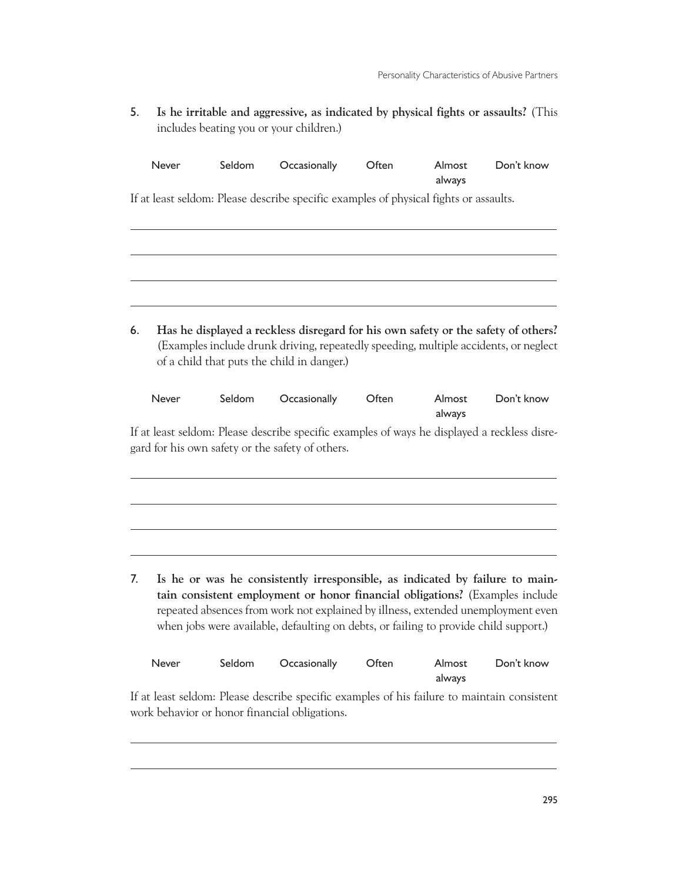Personality Characteristics of Abusive Partners

5. **Is he irritable and aggressive, as indicated by physical fights or assaults?** (This includes beating you or your children.)

|    | <b>Never</b> | Seldom | Occasionally                                                                                                                                                                                                                                     | Often | Almost<br>always | Don't know |
|----|--------------|--------|--------------------------------------------------------------------------------------------------------------------------------------------------------------------------------------------------------------------------------------------------|-------|------------------|------------|
|    |              |        | If at least seldom: Please describe specific examples of physical fights or assaults.                                                                                                                                                            |       |                  |            |
|    |              |        |                                                                                                                                                                                                                                                  |       |                  |            |
|    |              |        |                                                                                                                                                                                                                                                  |       |                  |            |
|    |              |        |                                                                                                                                                                                                                                                  |       |                  |            |
|    |              |        |                                                                                                                                                                                                                                                  |       |                  |            |
| 6. |              |        | Has he displayed a reckless disregard for his own safety or the safety of others?<br>(Examples include drunk driving, repeatedly speeding, multiple accidents, or neglect<br>of a child that puts the child in danger.)                          |       |                  |            |
|    | Never        | Seldom | Occasionally                                                                                                                                                                                                                                     | Often | Almost<br>always | Don't know |
|    |              |        | If at least seldom: Please describe specific examples of ways he displayed a reckless disre-<br>gard for his own safety or the safety of others.                                                                                                 |       |                  |            |
|    |              |        |                                                                                                                                                                                                                                                  |       |                  |            |
|    |              |        |                                                                                                                                                                                                                                                  |       |                  |            |
|    |              |        |                                                                                                                                                                                                                                                  |       |                  |            |
| 7. |              |        | Is he or was he consistently irresponsible, as indicated by failure to main-<br>tain consistent employment or honor financial obligations? (Examples include<br>repeated absences from work not explained by illness, extended unemployment even |       |                  |            |

| <b>Never</b> | Seldom | Occasionally | Often | Almost | Don't know |
|--------------|--------|--------------|-------|--------|------------|
|              |        |              |       | always |            |

when jobs were available, defaulting on debts, or failing to provide child support.)

If at least seldom: Please describe specific examples of his failure to maintain consistent work behavior or honor financial obligations.

 $\overline{a}$